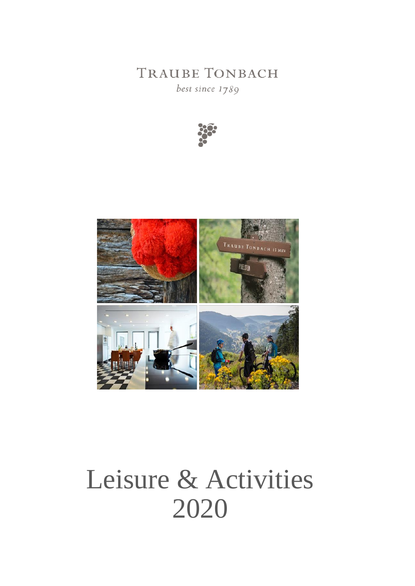**TRAUBE TONBACH** 

best since 1789





# Leisure & Activities 2020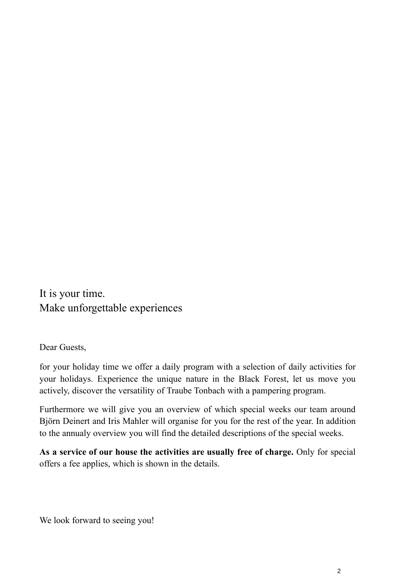It is your time. Make unforgettable experiences

Dear Guests,

for your holiday time we offer a daily program with a selection of daily activities for your holidays. Experience the unique nature in the Black Forest, let us move you actively, discover the versatility of Traube Tonbach with a pampering program.

Furthermore we will give you an overview of which special weeks our team around Björn Deinert and Iris Mahler will organise for you for the rest of the year. In addition to the annualy overview you will find the detailed descriptions of the special weeks.

**As a service of our house the activities are usually free of charge.** Only for special offers a fee applies, which is shown in the details.

We look forward to seeing you!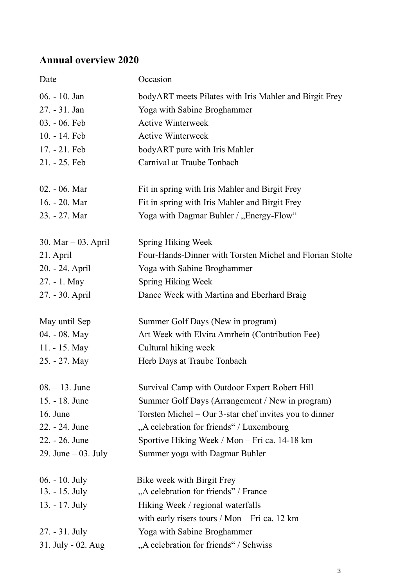# **Annual overview 2020**

| Date                  | Occasion                                                 |
|-----------------------|----------------------------------------------------------|
| 06. - 10. Jan         | bodyART meets Pilates with Iris Mahler and Birgit Frey   |
| 27. - 31. Jan         | Yoga with Sabine Broghammer                              |
| $03. - 06.$ Feb       | <b>Active Winterweek</b>                                 |
| 10. - 14. Feb         | <b>Active Winterweek</b>                                 |
| 17. - 21. Feb         | bodyART pure with Iris Mahler                            |
| 21. - 25. Feb         | Carnival at Traube Tonbach                               |
| 02. - 06. Mar         | Fit in spring with Iris Mahler and Birgit Frey           |
| 16. - 20. Mar         | Fit in spring with Iris Mahler and Birgit Frey           |
| 23. - 27. Mar         | Yoga with Dagmar Buhler / "Energy-Flow"                  |
| 30. Mar $-$ 03. April | Spring Hiking Week                                       |
| 21. April             | Four-Hands-Dinner with Torsten Michel and Florian Stolte |
| 20. - 24. April       | Yoga with Sabine Broghammer                              |
| 27. - 1. May          | <b>Spring Hiking Week</b>                                |
| 27. - 30. April       | Dance Week with Martina and Eberhard Braig               |
| May until Sep         | Summer Golf Days (New in program)                        |
| 04. - 08. May         | Art Week with Elvira Amrhein (Contribution Fee)          |
| 11. - 15. May         | Cultural hiking week                                     |
| 25. - 27. May         | Herb Days at Traube Tonbach                              |
| $08. - 13.$ June      | Survival Camp with Outdoor Expert Robert Hill            |
| 15. - 18. June        | Summer Golf Days (Arrangement / New in program)          |
| 16. June              | Torsten Michel – Our 3-star chef invites you to dinner   |
| 22. - 24. June        | "A celebration for friends" / Luxembourg                 |
| 22. - 26. June        | Sportive Hiking Week / Mon – Fri ca. 14-18 km            |
| 29. June $-$ 03. July | Summer yoga with Dagmar Buhler                           |
| $06. - 10.$ July      | Bike week with Birgit Frey                               |
| 13. - 15. July        | "A celebration for friends" / France                     |
| 13. - 17. July        | Hiking Week / regional waterfalls                        |
|                       | with early risers tours / Mon $-$ Fri ca. 12 km          |
| 27. - 31. July        | Yoga with Sabine Broghammer                              |
| 31. July - 02. Aug    | "A celebration for friends" / Schwiss                    |
|                       |                                                          |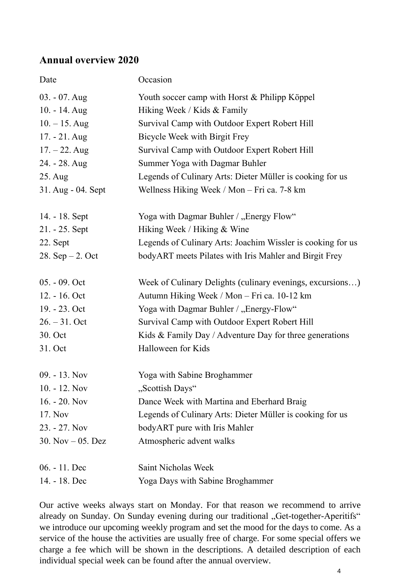# **Annual overview 2020**

| Date                | Occasion                                                    |
|---------------------|-------------------------------------------------------------|
| $03. - 07.$ Aug     | Youth soccer camp with Horst & Philipp Köppel               |
| 10. - 14. Aug       | Hiking Week / Kids & Family                                 |
| $10. - 15$ . Aug    | Survival Camp with Outdoor Expert Robert Hill               |
| $17. - 21.$ Aug     | Bicycle Week with Birgit Frey                               |
| $17. - 22.$ Aug     | Survival Camp with Outdoor Expert Robert Hill               |
| 24. - 28. Aug       | Summer Yoga with Dagmar Buhler                              |
| 25. Aug             | Legends of Culinary Arts: Dieter Müller is cooking for us   |
| 31. Aug - 04. Sept  | Wellness Hiking Week / Mon - Fri ca. 7-8 km                 |
| 14. - 18. Sept      | Yoga with Dagmar Buhler / "Energy Flow"                     |
| $21. - 25.$ Sept    | Hiking Week / Hiking & Wine                                 |
| 22. Sept            | Legends of Culinary Arts: Joachim Wissler is cooking for us |
| 28. $Sep - 2$ . Oct | bodyART meets Pilates with Iris Mahler and Birgit Frey      |
| 05. - 09. Oct       | Week of Culinary Delights (culinary evenings, excursions)   |
| 12. - 16. Oct       | Autumn Hiking Week / Mon - Fri ca. 10-12 km                 |
| 19. - 23. Oct       | Yoga with Dagmar Buhler / "Energy-Flow"                     |
| $26. - 31.$ Oct     | Survival Camp with Outdoor Expert Robert Hill               |
| 30. Oct             | Kids & Family Day / Adventure Day for three generations     |
| 31. Oct             | Halloween for Kids                                          |
| $09. - 13.$ Nov     | Yoga with Sabine Broghammer                                 |
| $10. - 12.$ Nov     | "Scottish Days"                                             |
| $16. - 20.$ Nov     | Dance Week with Martina and Eberhard Braig                  |
| 17. Nov             | Legends of Culinary Arts: Dieter Müller is cooking for us   |
| 23. - 27. Nov       | bodyART pure with Iris Mahler                               |
| 30. Nov $-$ 05. Dez | Atmospheric advent walks                                    |
| 06. - 11. Dec       | Saint Nicholas Week                                         |
| 14. - 18. Dec       | Yoga Days with Sabine Broghammer                            |

Our active weeks always start on Monday. For that reason we recommend to arrive already on Sunday. On Sunday evening during our traditional "Get-together-Aperitifs" we introduce our upcoming weekly program and set the mood for the days to come. As a service of the house the activities are usually free of charge. For some special offers we charge a fee which will be shown in the descriptions. A detailed description of each individual special week can be found after the annual overview.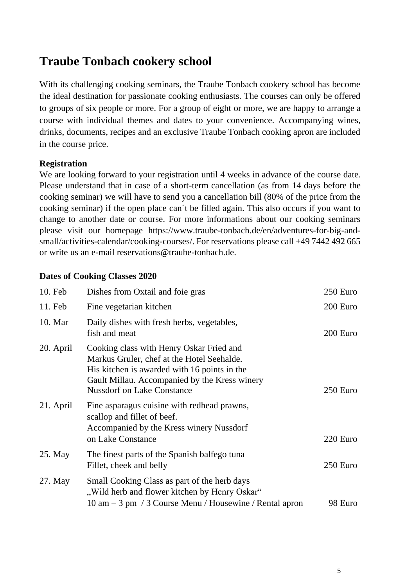# **Traube Tonbach cookery school**

With its challenging cooking seminars, the Traube Tonbach cookery school has become the ideal destination for passionate cooking enthusiasts. The courses can only be offered to groups of six people or more. For a group of eight or more, we are happy to arrange a course with individual themes and dates to your convenience. Accompanying wines, drinks, documents, recipes and an exclusive Traube Tonbach cooking apron are included in the course price.

#### **Registration**

We are looking forward to your registration until 4 weeks in advance of the course date. Please understand that in case of a short-term cancellation (as from 14 days before the cooking seminar) we will have to send you a cancellation bill (80% of the price from the cooking seminar) if the open place can´t be filled again. This also occurs if you want to change to another date or course. For more informations about our cooking seminars please visit our homepage https://www.traube-tonbach.de/en/adventures-for-big-andsmall/activities-calendar/cooking-courses/. For reservations please call +49 7442 492 665 or write us an e-mail reservations@traube-tonbach.de.

#### **Dates of Cooking Classes 2020**

| 10. Feb   | Dishes from Oxtail and foie gras                                                                                                                                                                                             | 250 Euro |
|-----------|------------------------------------------------------------------------------------------------------------------------------------------------------------------------------------------------------------------------------|----------|
| 11. Feb   | Fine vegetarian kitchen                                                                                                                                                                                                      | 200 Euro |
| 10. Mar   | Daily dishes with fresh herbs, vegetables,<br>fish and meat                                                                                                                                                                  | 200 Euro |
| 20. April | Cooking class with Henry Oskar Fried and<br>Markus Gruler, chef at the Hotel Seehalde.<br>His kitchen is awarded with 16 points in the<br>Gault Millau. Accompanied by the Kress winery<br><b>Nussdorf on Lake Constance</b> | 250 Euro |
| 21. April | Fine asparagus cuisine with redhead prawns,<br>scallop and fillet of beef.<br>Accompanied by the Kress winery Nussdorf<br>on Lake Constance                                                                                  | 220 Euro |
| 25. May   | The finest parts of the Spanish balfego tuna<br>Fillet, cheek and belly                                                                                                                                                      | 250 Euro |
| 27. May   | Small Cooking Class as part of the herb days<br>"Wild herb and flower kitchen by Henry Oskar"<br>10 am – 3 pm / 3 Course Menu / Housewine / Rental apron                                                                     | 98 Euro  |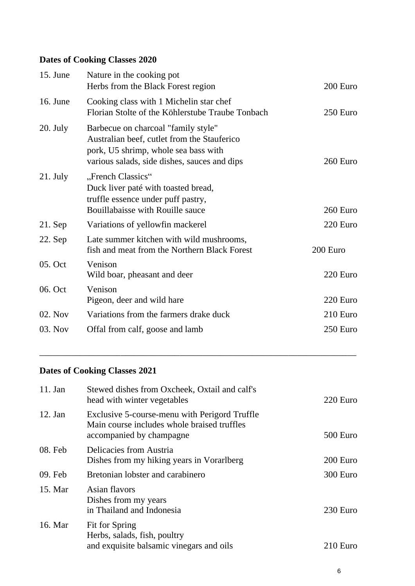# **Dates of Cooking Classes 2020**

| 15. June   | Nature in the cooking pot<br>Herbs from the Black Forest region                                                                                                            | 200 Euro |
|------------|----------------------------------------------------------------------------------------------------------------------------------------------------------------------------|----------|
| 16. June   | Cooking class with 1 Michelin star chef<br>Florian Stolte of the Köhlerstube Traube Tonbach                                                                                | 250 Euro |
| $20.$ July | Barbecue on charcoal "family style"<br>Australian beef, cutlet from the Stauferico<br>pork, U5 shrimp, whole sea bass with<br>various salads, side dishes, sauces and dips | 260 Euro |
| $21.$ July | "French Classics"<br>Duck liver paté with toasted bread,<br>truffle essence under puff pastry,<br>Bouillabaisse with Rouille sauce                                         | 260 Euro |
| $21.$ Sep  | Variations of yellowfin mackerel                                                                                                                                           | 220 Euro |
| 22. Sep    | Late summer kitchen with wild mushrooms,<br>fish and meat from the Northern Black Forest                                                                                   | 200 Euro |
| 05. Oct    | Venison<br>Wild boar, pheasant and deer                                                                                                                                    | 220 Euro |
| 06. Oct    | Venison<br>Pigeon, deer and wild hare                                                                                                                                      | 220 Euro |
| 02. Nov    | Variations from the farmers drake duck                                                                                                                                     | 210 Euro |
| 03. Nov    | Offal from calf, goose and lamb                                                                                                                                            | 250 Euro |
|            |                                                                                                                                                                            |          |

# **Dates of Cooking Classes 2021**

| $11.$ Jan | Stewed dishes from Oxcheek, Oxtail and calf's<br>head with winter vegetables                                             | 220 Euro   |
|-----------|--------------------------------------------------------------------------------------------------------------------------|------------|
| $12.$ Jan | Exclusive 5-course-menu with Perigord Truffle<br>Main course includes whole braised truffles<br>accompanied by champagne | 500 Euro   |
| 08. Feb   | Delicacies from Austria<br>Dishes from my hiking years in Vorarlberg                                                     | 200 Euro   |
| 09. Feb   | Bretonian lobster and carabinero                                                                                         | 300 Euro   |
| 15. Mar   | Asian flavors<br>Dishes from my years<br>in Thailand and Indonesia                                                       | 230 Euro   |
| 16. Mar   | Fit for Spring<br>Herbs, salads, fish, poultry<br>and exquisite balsamic vinegars and oils                               | $210$ Euro |

\_\_\_\_\_\_\_\_\_\_\_\_\_\_\_\_\_\_\_\_\_\_\_\_\_\_\_\_\_\_\_\_\_\_\_\_\_\_\_\_\_\_\_\_\_\_\_\_\_\_\_\_\_\_\_\_\_\_\_\_\_\_\_\_\_\_\_\_\_\_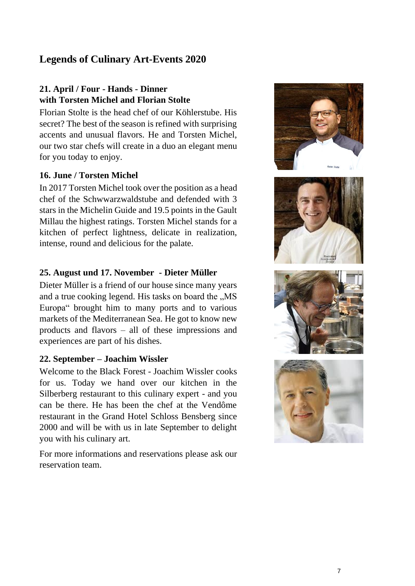## <span id="page-6-0"></span>**Legends of Culinary Art-Events 2020**

#### **21. April / Four - Hands - Dinner with Torsten Michel and Florian Stolte**

Florian Stolte is the head chef of our Köhlerstube. His secret? The best of the season is refined with surprising accents and unusual flavors. He and Torsten Michel, our two star chefs will create in a duo an elegant menu for you today to enjoy.

#### **16. June / Torsten Michel**

In 2017 Torsten Michel took over the position as a head chef of the Schwwarzwaldstube and defended with 3 stars in the Michelin Guide and 19.5 points in the Gault Millau the highest ratings. Torsten Michel stands for a kitchen of perfect lightness, delicate in realization, intense, round and delicious for the palate.

#### **25. August und 17. November - Dieter Müller**

Dieter Müller is a friend of our house since many years and a true cooking legend. His tasks on board the ..MS Europa" brought him to many ports and to various markets of the Mediterranean Sea. He got to know new products and flavors – all of these impressions and experiences are part of his dishes.

#### **22. September – Joachim Wissler**

Welcome to the Black Forest - Joachim Wissler cooks for us. Today we hand over our kitchen in the Silberberg restaurant to this culinary expert - and you can be there. He has been the chef at the Vendôme restaurant in the Grand Hotel Schloss Bensberg since 2000 and will be with us in late September to delight you with his culinary art.

For more informations and reservations please ask our reservation team.







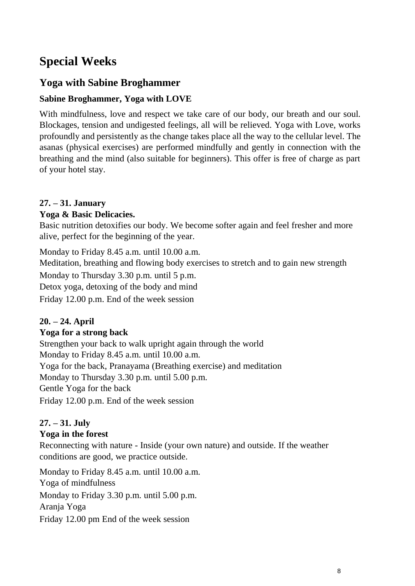# **Special Weeks**

# <span id="page-7-0"></span>**Yoga with Sabine Broghammer**

#### **Sabine Broghammer, Yoga with LOVE**

With mindfulness, love and respect we take care of our body, our breath and our soul. Blockages, tension and undigested feelings, all will be relieved. Yoga with Love, works profoundly and persistently as the change takes place all the way to the cellular level. The asanas (physical exercises) are performed mindfully and gently in connection with the breathing and the mind (also suitable for beginners). This offer is free of charge as part of your hotel stay.

#### **27. – 31. January**

#### **Yoga & Basic [Delicacies.](https://www.linguee.de/englisch-deutsch/uebersetzung/delicacies.html)**

Basic nutrition detoxifies our body. We become softer again and feel fresher and more alive, perfect for the beginning of the year.

Monday to Friday 8.45 a.m. until 10.00 a.m. Meditation, breathing and flowing body exercises to stretch and to gain new strength Monday to Thursday 3.30 p.m. until 5 p.m. Detox yoga, detoxing of the body and mind Friday 12.00 p.m. End of the week session

#### **20. – 24. April**

#### **Yoga for a strong back**

Strengthen your back to walk upright again through the world Monday to Friday 8.45 a.m. until 10.00 a.m. Yoga for the back, Pranayama (Breathing exercise) and meditation Monday to Thursday 3.30 p.m. until 5.00 p.m. Gentle Yoga for the back Friday 12.00 p.m. End of the week session

#### **27. – 31. July**

#### **Yoga in the forest**

Reconnecting with nature - Inside (your own nature) and outside. If the weather conditions are good, we practice outside.

Monday to Friday 8.45 a.m. until 10.00 a.m. Yoga of mindfulness Monday to Friday 3.30 p.m. until 5.00 p.m. Aranja Yoga Friday 12.00 pm End of the week session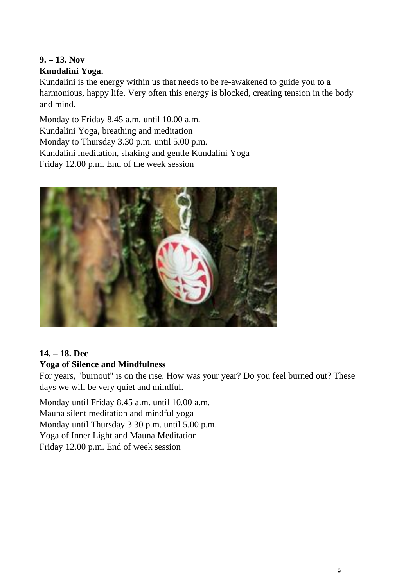# <span id="page-8-0"></span>**9. – 13. Nov**

#### **Kundalini Yoga.**

Kundalini is the energy within us that needs to be re-awakened to guide you to a harmonious, happy life. Very often this energy is blocked, creating tension in the body and mind.

Monday to Friday 8.45 a.m. until 10.00 a.m. Kundalini Yoga, breathing and meditation Monday to Thursday 3.30 p.m. until 5.00 p.m. Kundalini meditation, shaking and gentle Kundalini Yoga Friday 12.00 p.m. End of the week session



# <span id="page-8-1"></span>**14. – 18. Dec**

# **Yoga of Silence and Mindfulness**

For years, "burnout" is on the rise. How was your year? Do you feel burned out? These days we will be very quiet and mindful.

Monday until Friday 8.45 a.m. until 10.00 a.m. Mauna silent meditation and mindful yoga Monday until Thursday 3.30 p.m. until 5.00 p.m. Yoga of Inner Light and Mauna Meditation Friday 12.00 p.m. End of week session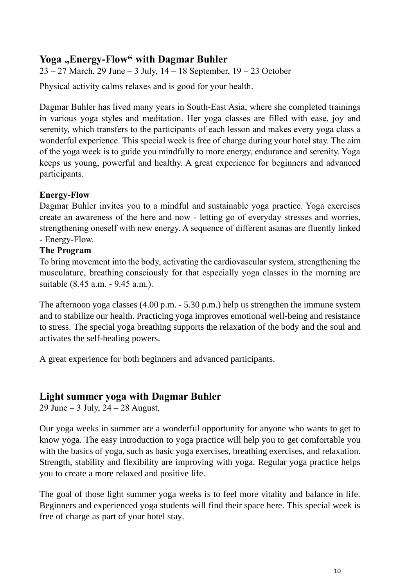### <span id="page-9-0"></span>Yoga "Energy-Flow" with Dagmar Buhler

 $23 - 27$  March, 29 June – 3 July,  $14 - 18$  September,  $19 - 23$  October

Physical activity calms relaxes and is good for your health.

Dagmar Buhler has lived many years in South-East Asia, where she completed trainings in various yoga styles and meditation. Her yoga classes are filled with ease, joy and serenity, which transfers to the participants of each lesson and makes every yoga class a wonderful experience. This special week is free of charge during your hotel stay. The aim of the yoga week is to guide you mindfully to more energy, endurance and serenity. Yoga keeps us young, powerful and healthy. A great experience for beginners and advanced participants.

#### **Energy-Flow**

Dagmar Buhler invites you to a mindful and sustainable yoga practice. Yoga exercises create an awareness of the here and now - letting go of everyday stresses and worries, strengthening oneself with new energy. A sequence of different asanas are fluently linked - Energy-Flow.

#### **The Program**

To bring movement into the body, activating the cardiovascular system, strengthening the musculature, breathing consciously for that especially yoga classes in the morning are suitable (8.45 a.m. - 9.45 a.m.).

The afternoon yoga classes (4.00 p.m. - 5.30 p.m.) help us strengthen the immune system and to stabilize our health. Practicing yoga improves emotional well-being and resistance to stress. The special yoga breathing supports the relaxation of the body and the soul and activates the self-healing powers.

A great experience for both beginners and advanced participants.

#### <span id="page-9-1"></span>**Light summer yoga with Dagmar Buhler**

29 June – 3 July,  $24 - 28$  August,

Our yoga weeks in summer are a wonderful opportunity for anyone who wants to get to know yoga. The easy introduction to yoga practice will help you to get comfortable you with the basics of yoga, such as basic yoga exercises, breathing exercises, and relaxation. Strength, stability and flexibility are improving with yoga. Regular yoga practice helps you to create a more relaxed and positive life.

The goal of those light summer yoga weeks is to feel more vitality and balance in life. Beginners and experienced yoga students will find their space here. This special week is free of charge as part of your hotel stay.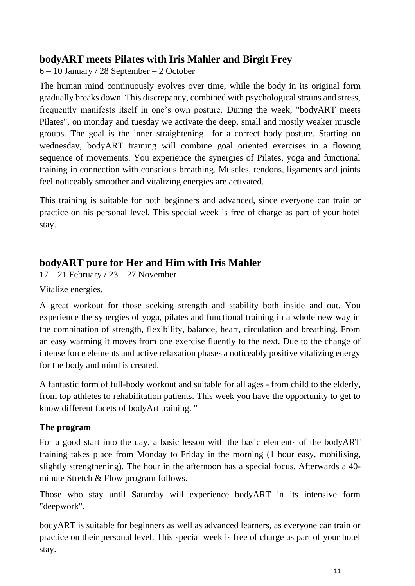### <span id="page-10-0"></span>**bodyART meets Pilates with Iris Mahler and Birgit Frey**

6 – 10 January / 28 September – 2 October

The human mind continuously evolves over time, while the body in its original form gradually breaks down. This discrepancy, combined with psychological strains and stress, frequently manifests itself in one's own posture. During the week, "bodyART meets Pilates", on monday and tuesday we activate the deep, small and mostly weaker muscle groups. The goal is the inner straightening for a correct body posture. Starting on wednesday, bodyART training will combine goal oriented exercises in a flowing sequence of movements. You experience the synergies of Pilates, yoga and functional training in connection with conscious breathing. Muscles, tendons, ligaments and joints feel noticeably smoother and vitalizing energies are activated.

This training is suitable for both beginners and advanced, since everyone can train or practice on his personal level. This special week is free of charge as part of your hotel stay.

# <span id="page-10-1"></span>**bodyART pure for Her and Him with Iris Mahler**

17 – 21 February / 23 – 27 November

Vitalize energies.

A great workout for those seeking strength and stability both inside and out. You experience the synergies of yoga, pilates and functional training in a whole new way in the combination of strength, flexibility, balance, heart, circulation and breathing. From an easy warming it moves from one exercise fluently to the next. Due to the change of intense force elements and active relaxation phases a noticeably positive vitalizing energy for the body and mind is created.

A fantastic form of full-body workout and suitable for all ages - from child to the elderly, from top athletes to rehabilitation patients. This week you have the opportunity to get to know different facets of bodyArt training. "

#### **The program**

For a good start into the day, a basic lesson with the basic elements of the bodyART training takes place from Monday to Friday in the morning (1 hour easy, mobilising, slightly strengthening). The hour in the afternoon has a special focus. Afterwards a 40 minute Stretch & Flow program follows.

Those who stay until Saturday will experience bodyART in its intensive form "deepwork".

bodyART is suitable for beginners as well as advanced learners, as everyone can train or practice on their personal level. This special week is free of charge as part of your hotel stay.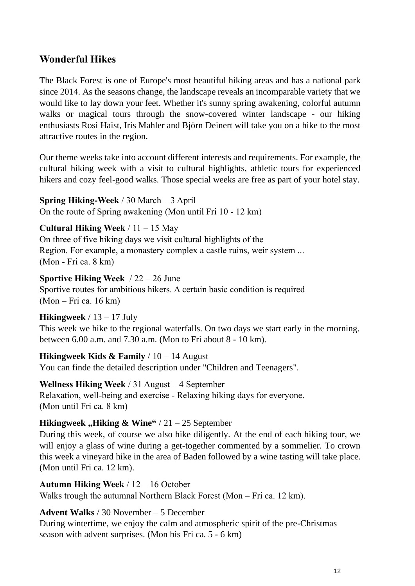## <span id="page-11-0"></span>**Wonderful Hikes**

The Black Forest is one of Europe's most beautiful hiking areas and has a national park since 2014. As the seasons change, the landscape reveals an incomparable variety that we would like to lay down your feet. Whether it's sunny spring awakening, colorful autumn walks or magical tours through the snow-covered winter landscape - our hiking enthusiasts Rosi Haist, Iris Mahler and Björn Deinert will take you on a hike to the most attractive routes in the region.

Our theme weeks take into account different interests and requirements. For example, the cultural hiking week with a visit to cultural highlights, athletic tours for experienced hikers and cozy feel-good walks. Those special weeks are free as part of your hotel stay.

**Spring Hiking-Week** / 30 March – 3 April On the route of Spring awakening (Mon until Fri 10 - 12 km)

**Cultural Hiking Week** / 11 – 15 May

On three of five hiking days we visit cultural highlights of the Region. For example, a monastery complex a castle ruins, weir system ... (Mon - Fri ca. 8 km)

**Sportive Hiking Week** / 22 – 26 June Sportive routes for ambitious hikers. A certain basic condition is required (Mon – Fri ca. 16 km)

**Hikingweek** / 13 – 17 July This week we hike to the regional waterfalls. On two days we start early in the morning. between 6.00 a.m. and 7.30 a.m. (Mon to Fri about 8 - 10 km).

**Hikingweek Kids & Family** / 10 – 14 August You can finde the detailed description under "Children and Teenagers".

**Wellness Hiking Week** / 31 August – 4 September Relaxation, well-being and exercise - Relaxing hiking days for everyone. (Mon until Fri ca. 8 km)

**Hikingweek** "Hiking & Wine"  $/21 - 25$  September During this week, of course we also hike diligently. At the end of each hiking tour, we will enjoy a glass of wine during a get-together commented by a sommelier. To crown this week a vineyard hike in the area of Baden followed by a wine tasting will take place. (Mon until Fri ca. 12 km).

<span id="page-11-1"></span>**Autumn Hiking Week** / 12 – 16 October Walks trough the autumnal Northern Black Forest (Mon – Fri ca. 12 km).

<span id="page-11-2"></span>**Advent Walks** / 30 November – 5 December During wintertime, we enjoy the calm and atmospheric spirit of the pre-Christmas season with advent surprises. (Mon bis Fri ca. 5 - 6 km)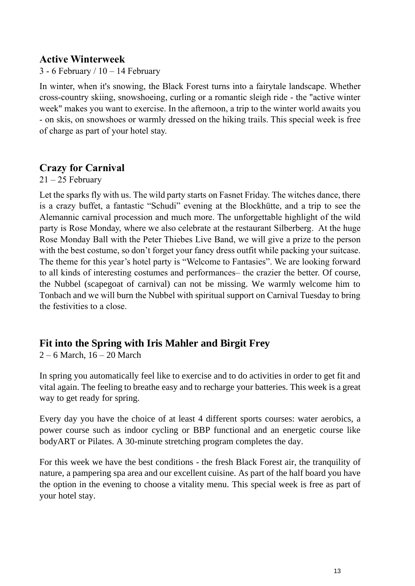#### <span id="page-12-0"></span>**Active Winterweek**

3 - 6 February /  $10 - 14$  February

In winter, when it's snowing, the Black Forest turns into a fairytale landscape. Whether cross-country skiing, snowshoeing, curling or a romantic sleigh ride - the "active winter week" makes you want to exercise. In the afternoon, a trip to the winter world awaits you - on skis, on snowshoes or warmly dressed on the hiking trails. This special week is free of charge as part of your hotel stay.

# <span id="page-12-1"></span>**Crazy for Carnival**

 $21 - 25$  February

Let the sparks fly with us. The wild party starts on Fasnet Friday. The witches dance, there is a crazy buffet, a fantastic "Schudi" evening at the Blockhütte, and a trip to see the Alemannic carnival procession and much more. The unforgettable highlight of the wild party is Rose Monday, where we also celebrate at the restaurant Silberberg. At the huge Rose Monday Ball with the Peter Thiebes Live Band, we will give a prize to the person with the best costume, so don't forget your fancy dress outfit while packing your suitcase. The theme for this year's hotel party is "Welcome to Fantasies". We are looking forward to all kinds of interesting costumes and performances– the crazier the better. Of course, the Nubbel (scapegoat of carnival) can not be missing. We warmly welcome him to Tonbach and we will burn the Nubbel with spiritual support on Carnival Tuesday to bring the festivities to a close.

# <span id="page-12-2"></span>**Fit into the Spring with Iris Mahler and Birgit Frey**

 $2 - 6$  March,  $16 - 20$  March

In spring you automatically feel like to exercise and to do activities in order to get fit and vital again. The feeling to breathe easy and to recharge your batteries. This week is a great way to get ready for spring.

Every day you have the choice of at least 4 different sports courses: water aerobics, a power course such as indoor cycling or BBP functional and an energetic course like bodyART or Pilates. A 30-minute stretching program completes the day.

For this week we have the best conditions - the fresh Black Forest air, the tranquility of nature, a pampering spa area and our excellent cuisine. As part of the half board you have the option in the evening to choose a vitality menu. This special week is free as part of your hotel stay.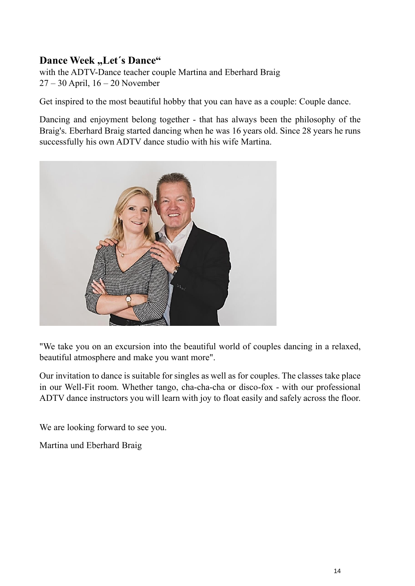# <span id="page-13-0"></span>**Dance Week "Let's Dance"**

with the ADTV-Dance teacher couple Martina and Eberhard Braig 27 – 30 April, 16 – 20 November

Get inspired to the most beautiful hobby that you can have as a couple: Couple dance.

Dancing and enjoyment belong together - that has always been the philosophy of the Braig's. Eberhard Braig started dancing when he was 16 years old. Since 28 years he runs successfully his own ADTV dance studio with his wife Martina.



"We take you on an excursion into the beautiful world of couples dancing in a relaxed, beautiful atmosphere and make you want more".

Our invitation to dance is suitable for singles as well as for couples. The classes take place in our Well-Fit room. Whether tango, cha-cha-cha or disco-fox - with our professional ADTV dance instructors you will learn with joy to float easily and safely across the floor.

We are looking forward to see you.

Martina und Eberhard Braig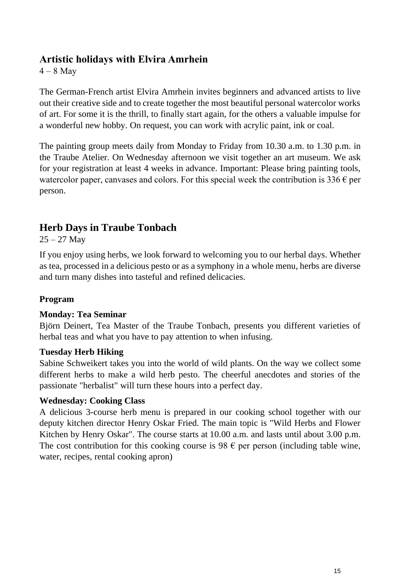#### <span id="page-14-0"></span>**Artistic holidays with Elvira Amrhein**

 $4 - 8$  May

The German-French artist Elvira Amrhein invites beginners and advanced artists to live out their creative side and to create together the most beautiful personal watercolor works of art. For some it is the thrill, to finally start again, for the others a valuable impulse for a wonderful new hobby. On request, you can work with acrylic paint, ink or coal.

The painting group meets daily from Monday to Friday from 10.30 a.m. to 1.30 p.m. in the Traube Atelier. On Wednesday afternoon we visit together an art museum. We ask for your registration at least 4 weeks in advance. Important: Please bring painting tools, watercolor paper, canvases and colors. For this special week the contribution is  $336 \epsilon$  per person.

# <span id="page-14-1"></span>**Herb Days in Traube Tonbach**

 $25 - 27$  May

If you enjoy using herbs, we look forward to welcoming you to our herbal days. Whether as tea, processed in a delicious pesto or as a symphony in a whole menu, herbs are diverse and turn many dishes into tasteful and refined delicacies.

#### **Program**

#### **Monday: Tea Seminar**

Björn Deinert, Tea Master of the Traube Tonbach, presents you different varieties of herbal teas and what you have to pay attention to when infusing.

#### **Tuesday Herb Hiking**

Sabine Schweikert takes you into the world of wild plants. On the way we collect some different herbs to make a wild herb pesto. The cheerful anecdotes and stories of the passionate "herbalist" will turn these hours into a perfect day.

#### **Wednesday: Cooking Class**

A delicious 3-course herb menu is prepared in our cooking school together with our deputy kitchen director Henry Oskar Fried. The main topic is "Wild Herbs and Flower Kitchen by Henry Oskar". The course starts at 10.00 a.m. and lasts until about 3.00 p.m. The cost contribution for this cooking course is 98  $\epsilon$  per person (including table wine, water, recipes, rental cooking apron)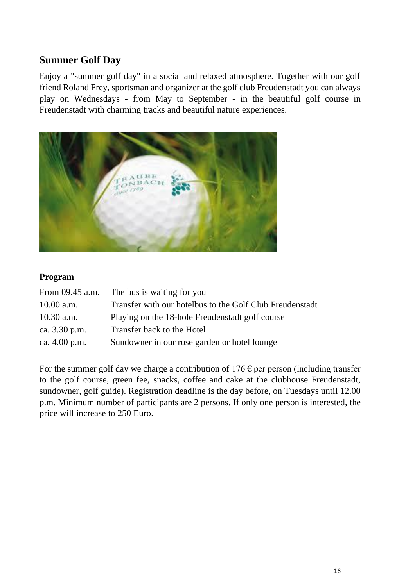# <span id="page-15-0"></span>**Summer Golf Day**

Enjoy a "summer golf day" in a social and relaxed atmosphere. Together with our golf friend Roland Frey, sportsman and organizer at the golf club Freudenstadt you can always play on Wednesdays - from May to September - in the beautiful golf course in Freudenstadt with charming tracks and beautiful nature experiences.



#### **Program**

| From 09.45 a.m. | The bus is waiting for you                               |
|-----------------|----------------------------------------------------------|
| 10.00 a.m.      | Transfer with our hotelbus to the Golf Club Freudenstadt |
| $10.30$ a.m.    | Playing on the 18-hole Freudenstadt golf course          |
| ca. 3.30 p.m.   | Transfer back to the Hotel                               |
| ca. 4.00 p.m.   | Sundowner in our rose garden or hotel lounge             |

For the summer golf day we charge a contribution of  $176 \text{ } \infty$  per person (including transfer to the golf course, green fee, snacks, coffee and cake at the clubhouse Freudenstadt, sundowner, golf guide). Registration deadline is the day before, on Tuesdays until 12.00 p.m. Minimum number of participants are 2 persons. If only one person is interested, the price will increase to 250 Euro.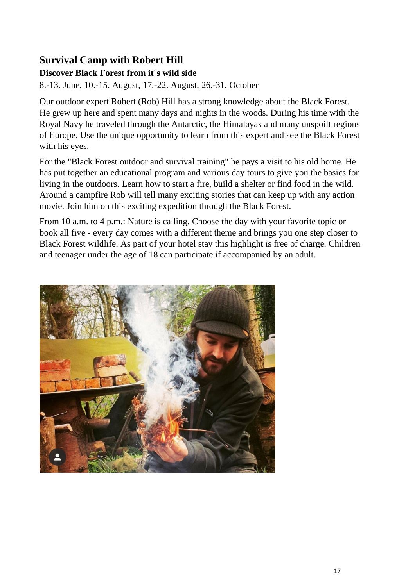# <span id="page-16-0"></span>**Survival Camp with Robert Hill**

#### **Discover Black Forest from it´s wild side**

8.-13. June, 10.-15. August, 17.-22. August, 26.-31. October

Our outdoor expert Robert (Rob) Hill has a strong knowledge about the Black Forest. He grew up here and spent many days and nights in the woods. During his time with the Royal Navy he traveled through the Antarctic, the Himalayas and many unspoilt regions of Europe. Use the unique opportunity to learn from this expert and see the Black Forest with his eyes.

For the "Black Forest outdoor and survival training" he pays a visit to his old home. He has put together an educational program and various day tours to give you the basics for living in the outdoors. Learn how to start a fire, build a shelter or find food in the wild. Around a campfire Rob will tell many exciting stories that can keep up with any action movie. Join him on this exciting expedition through the Black Forest.

From 10 a.m. to 4 p.m.: Nature is calling. Choose the day with your favorite topic or book all five - every day comes with a different theme and brings you one step closer to Black Forest wildlife. As part of your hotel stay this highlight is free of charge. Children and teenager under the age of 18 can participate if accompanied by an adult.

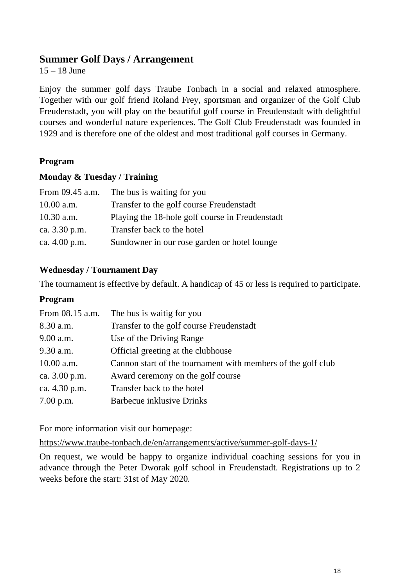#### <span id="page-17-0"></span>**Summer Golf Days / Arrangement**

15 – 18 June

Enjoy the summer golf days Traube Tonbach in a social and relaxed atmosphere. Together with our golf friend Roland Frey, sportsman and organizer of the Golf Club Freudenstadt, you will play on the beautiful golf course in Freudenstadt with delightful courses and wonderful nature experiences. The Golf Club Freudenstadt was founded in 1929 and is therefore one of the oldest and most traditional golf courses in Germany.

#### **Program**

#### **Monday & Tuesday / Training**

| From 09.45 a.m. | The bus is waiting for you                      |
|-----------------|-------------------------------------------------|
| 10.00 a.m.      | Transfer to the golf course Freudenstadt        |
| $10.30$ a.m.    | Playing the 18-hole golf course in Freudenstadt |
| ca. 3.30 p.m.   | Transfer back to the hotel                      |
| ca. 4.00 p.m.   | Sundowner in our rose garden or hotel lounge    |

#### **Wednesday / Tournament Day**

The tournament is effective by default. A handicap of 45 or less is required to participate.

#### **Program**

| From 08.15 a.m. | The bus is waitig for you                                    |
|-----------------|--------------------------------------------------------------|
| 8.30 a.m.       | Transfer to the golf course Freudenstadt                     |
| 9.00 a.m.       | Use of the Driving Range                                     |
| $9.30$ a.m.     | Official greeting at the clubhouse                           |
| 10.00 a.m.      | Cannon start of the tournament with members of the golf club |
| ca. 3.00 p.m.   | Award ceremony on the golf course                            |
| ca. 4.30 p.m.   | Transfer back to the hotel                                   |
| 7.00 p.m.       | <b>Barbecue inklusive Drinks</b>                             |

For more information visit our homepage:

<https://www.traube-tonbach.de/en/arrangements/active/summer-golf-days-1/>

On request, we would be happy to organize individual coaching sessions for you in advance through the Peter Dworak golf school in Freudenstadt. Registrations up to 2 weeks before the start: 31st of May 2020.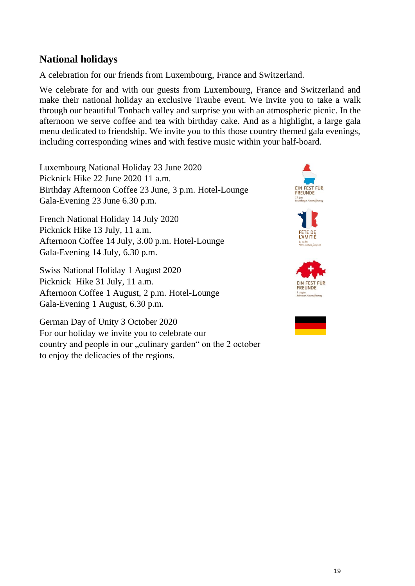# <span id="page-18-0"></span>**National holidays**

A celebration for our friends from Luxembourg, France and Switzerland.

We celebrate for and with our guests from Luxembourg, France and Switzerland and make their national holiday an exclusive Traube event. We invite you to take a walk through our beautiful Tonbach valley and surprise you with an atmospheric picnic. In the afternoon we serve coffee and tea with birthday cake. And as a highlight, a large gala menu dedicated to friendship. We invite you to this those country themed gala evenings, including corresponding wines and with festive music within your half-board.

Luxembourg National Holiday 23 June 2020 Picknick Hike 22 June 2020 11 a.m. Birthday Afternoon Coffee 23 June, 3 p.m. Hotel-Lounge Gala-Evening 23 June 6.30 p.m.

French National Holiday 14 July 2020 Picknick Hike 13 July, 11 a.m. Afternoon Coffee 14 July, 3.00 p.m. Hotel-Lounge Gala-Evening 14 July, 6.30 p.m.

Swiss National Holiday 1 August 2020 Picknick Hike 31 July, 11 a.m. Afternoon Coffee 1 August, 2 p.m. Hotel-Lounge Gala-Evening 1 August, 6.30 p.m.

German Day of Unity 3 October 2020 For our holiday we invite you to celebrate our country and people in our "culinary garden" on the 2 october to enjoy the delicacies of the regions.



**L'AMITIE** 



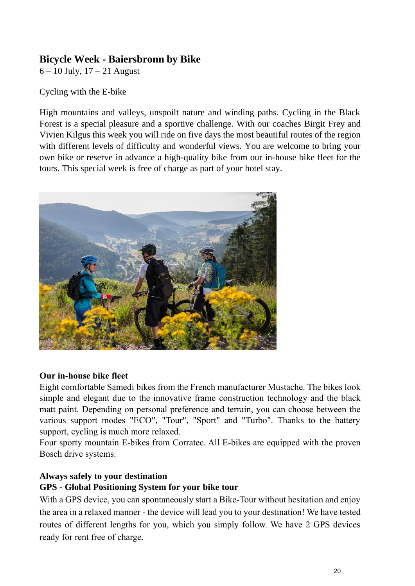## <span id="page-19-0"></span>**Bicycle Week - Baiersbronn by Bike**

6 – 10 July, 17 – 21 August

Cycling with the E-bike

High mountains and valleys, unspoilt nature and winding paths. Cycling in the Black Forest is a special pleasure and a sportive challenge. With our coaches Birgit Frey and Vivien Kilgus this week you will ride on five days the most beautiful routes of the region with different levels of difficulty and wonderful views. You are welcome to bring your own bike or reserve in advance a high-quality bike from our in-house bike fleet for the tours. This special week is free of charge as part of your hotel stay.



#### **Our in-house bike fleet**

Eight comfortable Samedi bikes from the French manufacturer Mustache. The bikes look simple and elegant due to the innovative frame construction technology and the black matt paint. Depending on personal preference and terrain, you can choose between the various support modes "ECO", "Tour", "Sport" and "Turbo". Thanks to the battery support, cycling is much more relaxed.

Four sporty mountain E-bikes from Corratec. All E-bikes are equipped with the proven Bosch drive systems.

#### **Always safely to your destination**

#### **GPS - Global Positioning System for your bike tour**

With a GPS device, you can spontaneously start a Bike-Tour without hesitation and enjoy the area in a relaxed manner - the device will lead you to your destination! We have tested routes of different lengths for you, which you simply follow. We have 2 GPS devices ready for rent free of charge.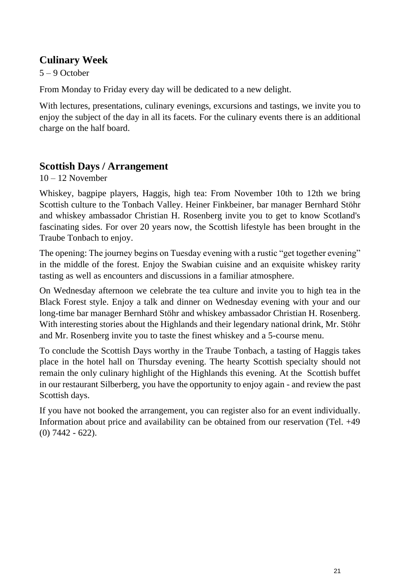# <span id="page-20-0"></span>**Culinary Week**

5 – 9 October

From Monday to Friday every day will be dedicated to a new delight.

With lectures, presentations, culinary evenings, excursions and tastings, we invite you to enjoy the subject of the day in all its facets. For the culinary events there is an additional charge on the half board.

# <span id="page-20-1"></span>**Scottish Days / Arrangement**

 $10 - 12$  November

Whiskey, bagpipe players, Haggis, high tea: From November 10th to 12th we bring Scottish culture to the Tonbach Valley. Heiner Finkbeiner, bar manager Bernhard Stöhr and whiskey ambassador Christian H. Rosenberg invite you to get to know Scotland's fascinating sides. For over 20 years now, the Scottish lifestyle has been brought in the Traube Tonbach to enjoy.

The opening: The journey begins on Tuesday evening with a rustic "get together evening" in the middle of the forest. Enjoy the Swabian cuisine and an exquisite whiskey rarity tasting as well as encounters and discussions in a familiar atmosphere.

On Wednesday afternoon we celebrate the tea culture and invite you to high tea in the Black Forest style. Enjoy a talk and dinner on Wednesday evening with your and our long-time bar manager Bernhard Stöhr and whiskey ambassador Christian H. Rosenberg. With interesting stories about the Highlands and their legendary national drink, Mr. Stöhr and Mr. Rosenberg invite you to taste the finest whiskey and a 5-course menu.

To conclude the Scottish Days worthy in the Traube Tonbach, a tasting of Haggis takes place in the hotel hall on Thursday evening. The hearty Scottish specialty should not remain the only culinary highlight of the Highlands this evening. At the Scottish buffet in our restaurant Silberberg, you have the opportunity to enjoy again - and review the past Scottish days.

If you have not booked the arrangement, you can register also for an event individually. Information about price and availability can be obtained from our reservation (Tel. +49 (0) 7442 - 622).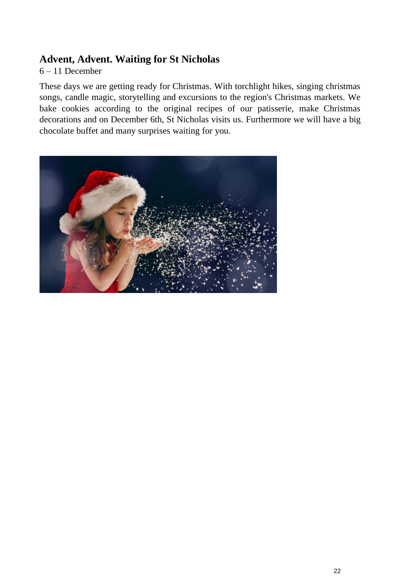### <span id="page-21-0"></span>**Advent, Advent. Waiting for St Nicholas**

#### 6 – 11 December

These days we are getting ready for Christmas. With torchlight hikes, singing christmas songs, candle magic, storytelling and excursions to the region's Christmas markets. We bake cookies according to the original recipes of our patisserie, make Christmas decorations and on December 6th, St Nicholas visits us. Furthermore we will have a big chocolate buffet and many surprises waiting for you.

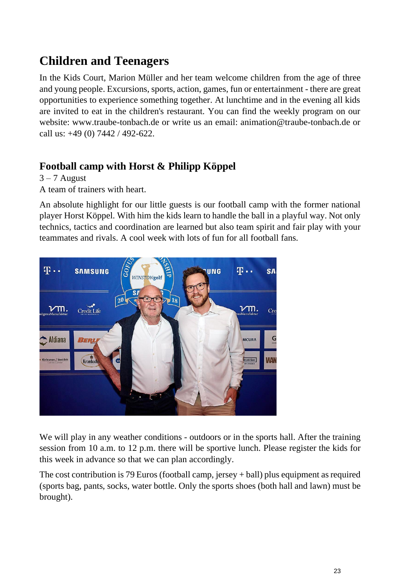# **Children and Teenagers**

In the Kids Court, Marion Müller and her team welcome children from the age of three and young people. Excursions, sports, action, games, fun or entertainment - there are great opportunities to experience something together. At lunchtime and in the evening all kids are invited to eat in the children's restaurant. You can find the weekly program on our website: www.traube-tonbach.de or write us an email: animation@traube-tonbach.de or call us: +49 (0) 7442 / 492-622.

# <span id="page-22-0"></span>**Football camp with Horst & Philipp Köppel**

 $3 - 7$  August

A team of trainers with heart.

An absolute highlight for our little guests is our football camp with the former national player Horst Köppel. With him the kids learn to handle the ball in a playful way. Not only technics, tactics and coordination are learned but also team spirit and fair play with your teammates and rivals. A cool week with lots of fun for all football fans.



We will play in any weather conditions - outdoors or in the sports hall. After the training session from 10 a.m. to 12 p.m. there will be sportive lunch. Please register the kids for this week in advance so that we can plan accordingly.

The cost contribution is 79 Euros (football camp, jersey + ball) plus equipment as required (sports bag, pants, socks, water bottle. Only the sports shoes (both hall and lawn) must be brought).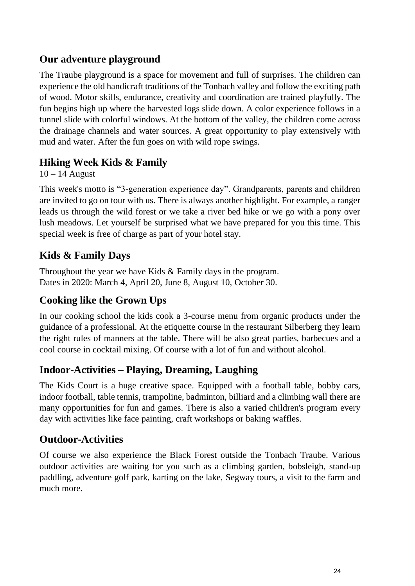# **Our adventure playground**

The Traube playground is a space for movement and full of surprises. The children can experience the old handicraft traditions of the Tonbach valley and follow the exciting path of wood. Motor skills, endurance, creativity and coordination are trained playfully. The fun begins high up where the harvested logs slide down. A color experience follows in a tunnel slide with colorful windows. At the bottom of the valley, the children come across the drainage channels and water sources. A great opportunity to play extensively with mud and water. After the fun goes on with wild rope swings.

# <span id="page-23-0"></span>**Hiking Week Kids & Family**

 $10 - 14$  August

This week's motto is "3-generation experience day". Grandparents, parents and children are invited to go on tour with us. There is always another highlight. For example, a ranger leads us through the wild forest or we take a river bed hike or we go with a pony over lush meadows. Let yourself be surprised what we have prepared for you this time. This special week is free of charge as part of your hotel stay.

# <span id="page-23-1"></span>**Kids & Family Days**

Throughout the year we have Kids & Family days in the program. Dates in 2020: March 4, April 20, June 8, August 10, October 30.

# **Cooking like the Grown Ups**

In our cooking school the kids cook a 3-course menu from organic products under the guidance of a professional. At the etiquette course in the restaurant Silberberg they learn the right rules of manners at the table. There will be also great parties, barbecues and a cool course in cocktail mixing. Of course with a lot of fun and without alcohol.

# **Indoor-Activities – Playing, Dreaming, Laughing**

The Kids Court is a huge creative space. Equipped with a football table, bobby cars, indoor football, table tennis, trampoline, badminton, billiard and a climbing wall there are many opportunities for fun and games. There is also a varied children's program every day with activities like face painting, craft workshops or baking waffles.

# **Outdoor-Activities**

Of course we also experience the Black Forest outside the Tonbach Traube. Various outdoor activities are waiting for you such as a climbing garden, bobsleigh, stand-up paddling, adventure golf park, karting on the lake, Segway tours, a visit to the farm and much more.